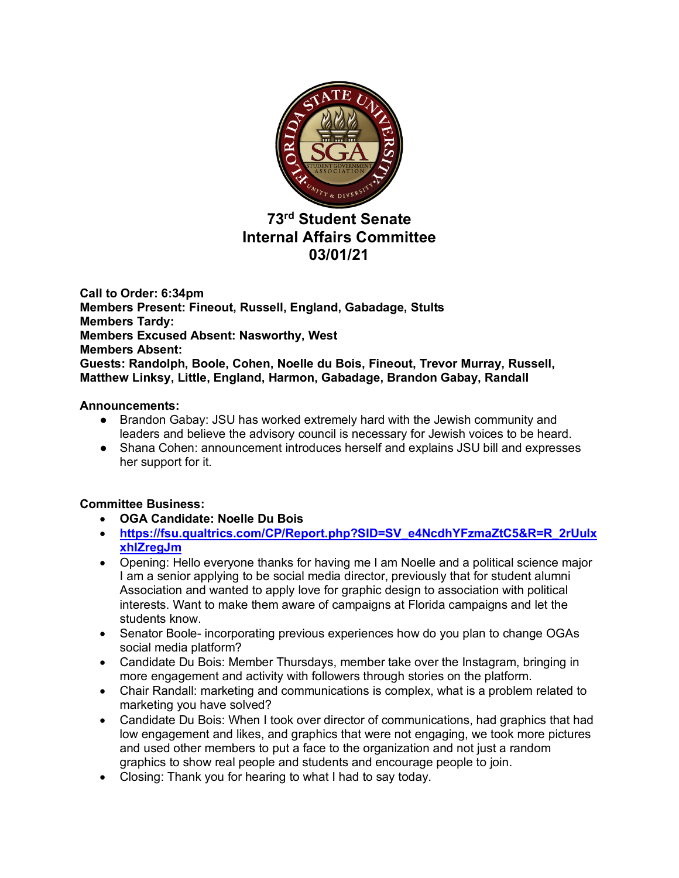

# **73rd Student Senate Internal Affairs Committee 03/01/21**

**Call to Order: 6:34pm Members Present: Fineout, Russell, England, Gabadage, Stults Members Tardy: Members Excused Absent: Nasworthy, West Members Absent: Guests: Randolph, Boole, Cohen, Noelle du Bois, Fineout, Trevor Murray, Russell, Matthew Linksy, Little, England, Harmon, Gabadage, Brandon Gabay, Randall**

# **Announcements:**

- Brandon Gabay: JSU has worked extremely hard with the Jewish community and leaders and believe the advisory council is necessary for Jewish voices to be heard.
- Shana Cohen: announcement introduces herself and explains JSU bill and expresses her support for it.

# **Committee Business:**

- **OGA Candidate: Noelle Du Bois**
- **https://fsu.qualtrics.com/CP/Report.php?SID=SV\_e4NcdhYFzmaZtC5&R=R\_2rUulx xhIZregJm**
- Opening: Hello everyone thanks for having me I am Noelle and a political science major I am a senior applying to be social media director, previously that for student alumni Association and wanted to apply love for graphic design to association with political interests. Want to make them aware of campaigns at Florida campaigns and let the students know.
- Senator Boole- incorporating previous experiences how do you plan to change OGAs social media platform?
- Candidate Du Bois: Member Thursdays, member take over the Instagram, bringing in more engagement and activity with followers through stories on the platform.
- Chair Randall: marketing and communications is complex, what is a problem related to marketing you have solved?
- Candidate Du Bois: When I took over director of communications, had graphics that had low engagement and likes, and graphics that were not engaging, we took more pictures and used other members to put a face to the organization and not just a random graphics to show real people and students and encourage people to join.
- Closing: Thank you for hearing to what I had to say today.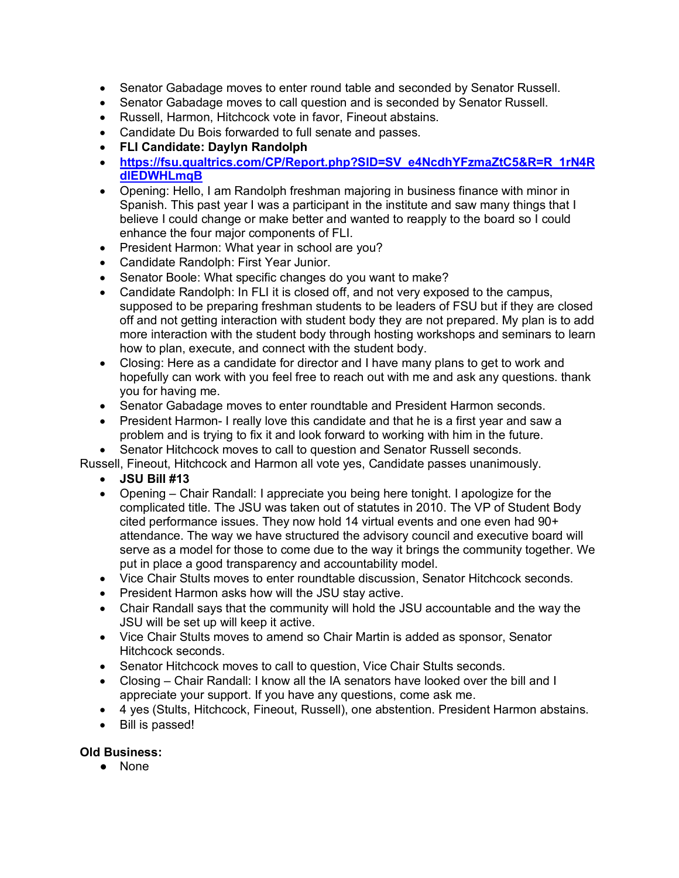- Senator Gabadage moves to enter round table and seconded by Senator Russell.
- Senator Gabadage moves to call question and is seconded by Senator Russell.
- Russell, Harmon, Hitchcock vote in favor, Fineout abstains.
- Candidate Du Bois forwarded to full senate and passes.
- **FLI Candidate: Daylyn Randolph**
- **https://fsu.qualtrics.com/CP/Report.php?SID=SV\_e4NcdhYFzmaZtC5&R=R\_1rN4R dlEDWHLmqB**
- Opening: Hello, I am Randolph freshman majoring in business finance with minor in Spanish. This past year I was a participant in the institute and saw many things that I believe I could change or make better and wanted to reapply to the board so I could enhance the four major components of FLI.
- President Harmon: What year in school are you?
- Candidate Randolph: First Year Junior.
- Senator Boole: What specific changes do you want to make?
- Candidate Randolph: In FLI it is closed off, and not very exposed to the campus, supposed to be preparing freshman students to be leaders of FSU but if they are closed off and not getting interaction with student body they are not prepared. My plan is to add more interaction with the student body through hosting workshops and seminars to learn how to plan, execute, and connect with the student body.
- Closing: Here as a candidate for director and I have many plans to get to work and hopefully can work with you feel free to reach out with me and ask any questions. thank you for having me.
- Senator Gabadage moves to enter roundtable and President Harmon seconds.
- President Harmon- I really love this candidate and that he is a first year and saw a problem and is trying to fix it and look forward to working with him in the future.
- Senator Hitchcock moves to call to question and Senator Russell seconds.

Russell, Fineout, Hitchcock and Harmon all vote yes, Candidate passes unanimously.

- **JSU Bill #13**
- Opening Chair Randall: I appreciate you being here tonight. I apologize for the complicated title. The JSU was taken out of statutes in 2010. The VP of Student Body cited performance issues. They now hold 14 virtual events and one even had 90+ attendance. The way we have structured the advisory council and executive board will serve as a model for those to come due to the way it brings the community together. We put in place a good transparency and accountability model.
- Vice Chair Stults moves to enter roundtable discussion, Senator Hitchcock seconds.
- President Harmon asks how will the JSU stay active.
- Chair Randall says that the community will hold the JSU accountable and the way the JSU will be set up will keep it active.
- Vice Chair Stults moves to amend so Chair Martin is added as sponsor, Senator Hitchcock seconds.
- Senator Hitchcock moves to call to question, Vice Chair Stults seconds.
- Closing Chair Randall: I know all the IA senators have looked over the bill and I appreciate your support. If you have any questions, come ask me.
- 4 yes (Stults, Hitchcock, Fineout, Russell), one abstention. President Harmon abstains.
- Bill is passed!

# **Old Business:**

● None